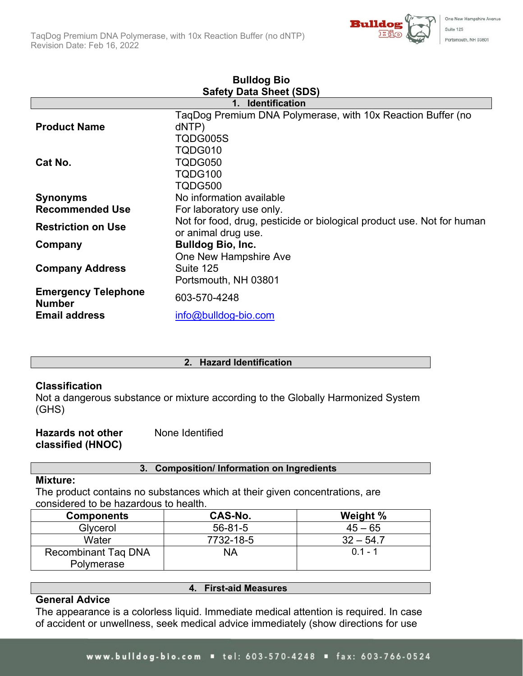

| <b>Bulldog Bio</b>                          |                                                                        |  |
|---------------------------------------------|------------------------------------------------------------------------|--|
| <b>Safety Data Sheet (SDS)</b>              |                                                                        |  |
|                                             | <b>Identification</b>                                                  |  |
|                                             | TaqDog Premium DNA Polymerase, with 10x Reaction Buffer (no            |  |
| <b>Product Name</b>                         | dNTP)                                                                  |  |
|                                             | TQDG005S                                                               |  |
|                                             | TQDG010                                                                |  |
| Cat No.                                     | TQDG050                                                                |  |
|                                             | TQDG100                                                                |  |
|                                             | TQDG500                                                                |  |
| <b>Synonyms</b>                             | No information available<br>For laboratory use only.                   |  |
| <b>Recommended Use</b>                      |                                                                        |  |
| <b>Restriction on Use</b>                   | Not for food, drug, pesticide or biological product use. Not for human |  |
|                                             | or animal drug use.                                                    |  |
| Company                                     | <b>Bulldog Bio, Inc.</b>                                               |  |
|                                             | One New Hampshire Ave                                                  |  |
| <b>Company Address</b>                      | Suite 125                                                              |  |
|                                             | Portsmouth, NH 03801                                                   |  |
| <b>Emergency Telephone</b><br><b>Number</b> | 603-570-4248                                                           |  |
| <b>Email address</b>                        | info@bulldog-bio.com                                                   |  |

### **2. Hazard Identification**

# **Classification**

Not a dangerous substance or mixture according to the Globally Harmonized System (GHS)

| <b>Hazards not other</b> | None Identified |
|--------------------------|-----------------|
| classified (HNOC)        |                 |

# **3. Composition/ Information on Ingredients**

### **Mixture:**

The product contains no substances which at their given concentrations, are considered to be hazardous to health.

| <b>Components</b>          | CAS-No.       | Weight %    |
|----------------------------|---------------|-------------|
| Glycerol                   | $56 - 81 - 5$ | $45 - 65$   |
| Water                      | 7732-18-5     | $32 - 54.7$ |
| <b>Recombinant Tag DNA</b> | NΑ            | $01 - 1$    |
| Polymerase                 |               |             |

### **General Advice**

**4. First-aid Measures**

The appearance is a colorless liquid. Immediate medical attention is required. In case of accident or unwellness, seek medical advice immediately (show directions for use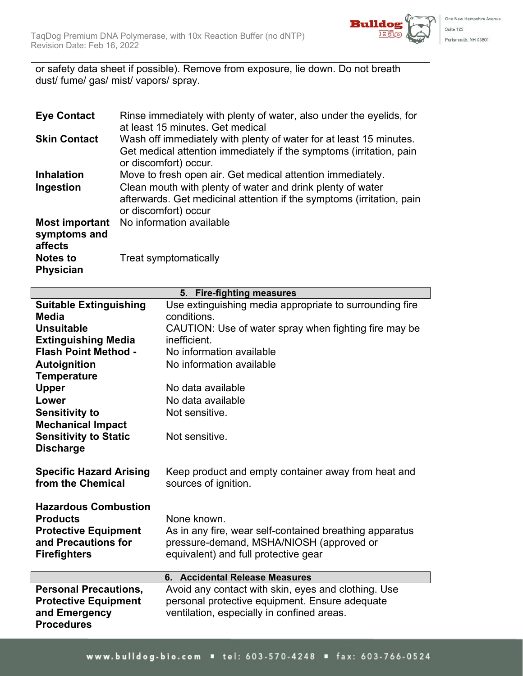

or safety data sheet if possible). Remove from exposure, lie down. Do not breath dust/ fume/ gas/ mist/ vapors/ spray.

| <b>Eye Contact</b>                               | Rinse immediately with plenty of water, also under the eyelids, for<br>at least 15 minutes. Get medical                                                            |
|--------------------------------------------------|--------------------------------------------------------------------------------------------------------------------------------------------------------------------|
| <b>Skin Contact</b>                              | Wash off immediately with plenty of water for at least 15 minutes.<br>Get medical attention immediately if the symptoms (irritation, pain<br>or discomfort) occur. |
| <b>Inhalation</b>                                | Move to fresh open air. Get medical attention immediately.                                                                                                         |
| Ingestion                                        | Clean mouth with plenty of water and drink plenty of water<br>afterwards. Get medicinal attention if the symptoms (irritation, pain<br>or discomfort) occur        |
| <b>Most important</b><br>symptoms and<br>affects | No information available                                                                                                                                           |
| <b>Notes to</b><br><b>Physician</b>              | Treat symptomatically                                                                                                                                              |

| Use extinguishing media appropriate to surrounding fire<br><b>Suitable Extinguishing</b><br>conditions.<br><b>Media</b> |                                                       |  |
|-------------------------------------------------------------------------------------------------------------------------|-------------------------------------------------------|--|
|                                                                                                                         |                                                       |  |
|                                                                                                                         |                                                       |  |
| <b>Unsuitable</b>                                                                                                       | CAUTION: Use of water spray when fighting fire may be |  |
| <b>Extinguishing Media</b><br>inefficient.                                                                              |                                                       |  |
| <b>Flash Point Method -</b><br>No information available                                                                 |                                                       |  |
| No information available<br><b>Autoignition</b>                                                                         |                                                       |  |
| <b>Temperature</b>                                                                                                      |                                                       |  |
| <b>Upper</b><br>No data available                                                                                       |                                                       |  |
| No data available<br>Lower                                                                                              |                                                       |  |
| <b>Sensitivity to</b><br>Not sensitive.                                                                                 |                                                       |  |
| <b>Mechanical Impact</b>                                                                                                |                                                       |  |
| <b>Sensitivity to Static</b><br>Not sensitive.                                                                          |                                                       |  |
| <b>Discharge</b>                                                                                                        |                                                       |  |
|                                                                                                                         |                                                       |  |
| <b>Specific Hazard Arising</b><br>Keep product and empty container away from heat and                                   |                                                       |  |
| from the Chemical<br>sources of ignition.                                                                               |                                                       |  |
|                                                                                                                         |                                                       |  |
| <b>Hazardous Combustion</b>                                                                                             |                                                       |  |
| <b>Products</b><br>None known.                                                                                          |                                                       |  |
| <b>Protective Equipment</b><br>As in any fire, wear self-contained breathing apparatus                                  |                                                       |  |
| and Precautions for<br>pressure-demand, MSHA/NIOSH (approved or                                                         |                                                       |  |
| equivalent) and full protective gear<br><b>Firefighters</b>                                                             |                                                       |  |
| 6. Accidental Release Measures                                                                                          |                                                       |  |
| Avoid any contact with skin, eyes and clothing. Use<br><b>Personal Precautions,</b>                                     |                                                       |  |
| personal protective equipment. Ensure adequate<br><b>Protective Equipment</b>                                           |                                                       |  |
| and Emergency<br>ventilation, especially in confined areas.                                                             |                                                       |  |
| <b>Procedures</b>                                                                                                       |                                                       |  |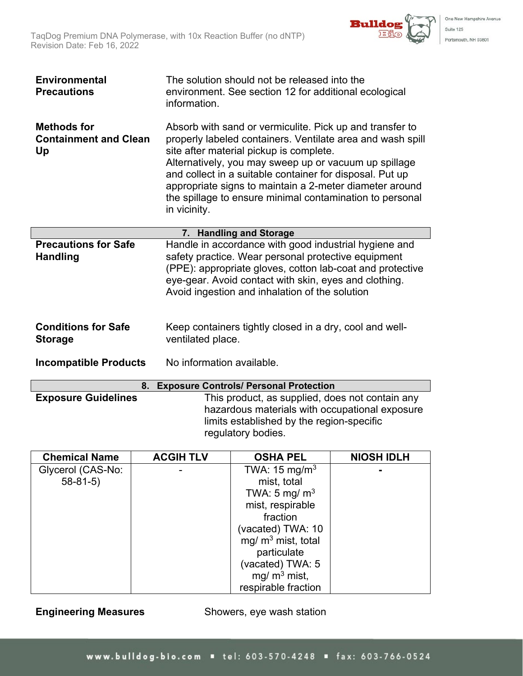

| <b>Environmental</b><br><b>Precautions</b>               | The solution should not be released into the<br>environment. See section 12 for additional ecological<br>information.                                                                                                                                                                                                                                                                                                         |  |
|----------------------------------------------------------|-------------------------------------------------------------------------------------------------------------------------------------------------------------------------------------------------------------------------------------------------------------------------------------------------------------------------------------------------------------------------------------------------------------------------------|--|
| <b>Methods for</b><br><b>Containment and Clean</b><br>Up | Absorb with sand or vermiculite. Pick up and transfer to<br>properly labeled containers. Ventilate area and wash spill<br>site after material pickup is complete.<br>Alternatively, you may sweep up or vacuum up spillage<br>and collect in a suitable container for disposal. Put up<br>appropriate signs to maintain a 2-meter diameter around<br>the spillage to ensure minimal contamination to personal<br>in vicinity. |  |
|                                                          | 7. Handling and Storage                                                                                                                                                                                                                                                                                                                                                                                                       |  |
| <b>Precautions for Safe</b><br><b>Handling</b>           | Handle in accordance with good industrial hygiene and<br>safety practice. Wear personal protective equipment<br>(PPE): appropriate gloves, cotton lab-coat and protective<br>eye-gear. Avoid contact with skin, eyes and clothing.<br>Avoid ingestion and inhalation of the solution                                                                                                                                          |  |
| <b>Conditions for Safe</b><br><b>Storage</b>             | Keep containers tightly closed in a dry, cool and well-<br>ventilated place.                                                                                                                                                                                                                                                                                                                                                  |  |
| <b>Incompatible Products</b>                             | No information available.                                                                                                                                                                                                                                                                                                                                                                                                     |  |
| <b>Exposure Controls/ Personal Protection</b><br>8.      |                                                                                                                                                                                                                                                                                                                                                                                                                               |  |

|                            | <b>0. LADUSUIT CUILIUIS/ FEISUIIAI FIULECLIUII</b>                                                                |
|----------------------------|-------------------------------------------------------------------------------------------------------------------|
| <b>Exposure Guidelines</b> | This product, as supplied, does not contain any                                                                   |
|                            | hazardous materials with occupational exposure<br>limits established by the region-specific<br>regulatory bodies. |

| <b>Chemical Name</b> | <b>ACGIH TLV</b> | <b>OSHA PEL</b>          | <b>NIOSH IDLH</b> |
|----------------------|------------------|--------------------------|-------------------|
| Glycerol (CAS-No:    |                  | TWA: $15 \text{ mg/m}^3$ |                   |
| $58 - 81 - 5$        |                  | mist, total              |                   |
|                      |                  | TWA: 5 mg/ $m3$          |                   |
|                      |                  | mist, respirable         |                   |
|                      |                  | fraction                 |                   |
|                      |                  | (vacated) TWA: 10        |                   |
|                      |                  | mg/ $m3$ mist, total     |                   |
|                      |                  | particulate              |                   |
|                      |                  | (vacated) TWA: 5         |                   |
|                      |                  | mg/ $m^3$ mist,          |                   |
|                      |                  | respirable fraction      |                   |

**Engineering Measures** Showers, eye wash station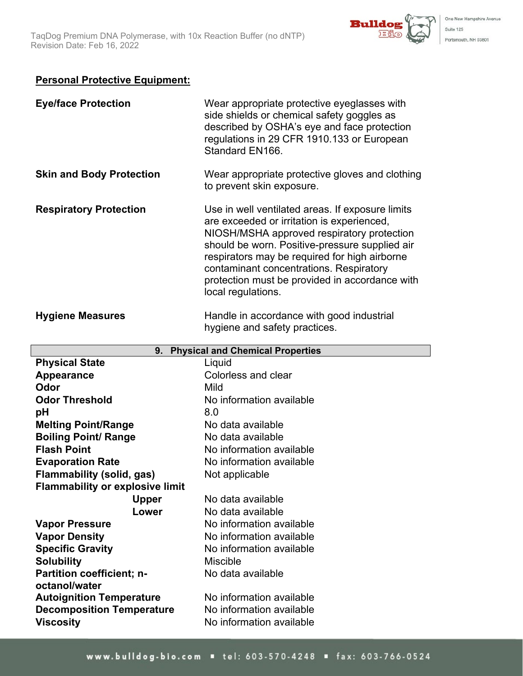

# **Personal Protective Equipment:**

| <b>Eye/face Protection</b>                           | Wear appropriate protective eyeglasses with<br>side shields or chemical safety goggles as<br>described by OSHA's eye and face protection<br>regulations in 29 CFR 1910.133 or European<br>Standard EN166.                                                                                                                                                          |
|------------------------------------------------------|--------------------------------------------------------------------------------------------------------------------------------------------------------------------------------------------------------------------------------------------------------------------------------------------------------------------------------------------------------------------|
| <b>Skin and Body Protection</b>                      | Wear appropriate protective gloves and clothing<br>to prevent skin exposure.                                                                                                                                                                                                                                                                                       |
| <b>Respiratory Protection</b>                        | Use in well ventilated areas. If exposure limits<br>are exceeded or irritation is experienced,<br>NIOSH/MSHA approved respiratory protection<br>should be worn. Positive-pressure supplied air<br>respirators may be required for high airborne<br>contaminant concentrations. Respiratory<br>protection must be provided in accordance with<br>local regulations. |
| <b>Hygiene Measures</b>                              | Handle in accordance with good industrial<br>hygiene and safety practices.                                                                                                                                                                                                                                                                                         |
| 9.                                                   | <b>Physical and Chemical Properties</b>                                                                                                                                                                                                                                                                                                                            |
| <b>Physical State</b>                                | Liquid                                                                                                                                                                                                                                                                                                                                                             |
| Appearance                                           | <b>Colorless and clear</b>                                                                                                                                                                                                                                                                                                                                         |
| Odor                                                 | Mild                                                                                                                                                                                                                                                                                                                                                               |
| <b>Odor Threshold</b>                                | No information available                                                                                                                                                                                                                                                                                                                                           |
| pH                                                   | 8.0                                                                                                                                                                                                                                                                                                                                                                |
|                                                      |                                                                                                                                                                                                                                                                                                                                                                    |
| <b>Melting Point/Range</b>                           | No data available                                                                                                                                                                                                                                                                                                                                                  |
| <b>Boiling Point/ Range</b>                          | No data available                                                                                                                                                                                                                                                                                                                                                  |
| <b>Flash Point</b>                                   | No information available                                                                                                                                                                                                                                                                                                                                           |
| <b>Evaporation Rate</b>                              | No information available                                                                                                                                                                                                                                                                                                                                           |
| <b>Flammability (solid, gas)</b>                     | Not applicable                                                                                                                                                                                                                                                                                                                                                     |
| <b>Flammability or explosive limit</b>               |                                                                                                                                                                                                                                                                                                                                                                    |
| <b>Upper</b>                                         | No data available                                                                                                                                                                                                                                                                                                                                                  |
| Lower                                                | No data available                                                                                                                                                                                                                                                                                                                                                  |
| <b>Vapor Pressure</b>                                | No information available                                                                                                                                                                                                                                                                                                                                           |
| <b>Vapor Density</b>                                 | No information available                                                                                                                                                                                                                                                                                                                                           |
| <b>Specific Gravity</b>                              | No information available                                                                                                                                                                                                                                                                                                                                           |
| <b>Solubility</b>                                    | <b>Miscible</b>                                                                                                                                                                                                                                                                                                                                                    |
| <b>Partition coefficient; n-</b>                     | No data available                                                                                                                                                                                                                                                                                                                                                  |
| octanol/water                                        |                                                                                                                                                                                                                                                                                                                                                                    |
| <b>Autoignition Temperature</b>                      | No information available                                                                                                                                                                                                                                                                                                                                           |
| <b>Decomposition Temperature</b><br><b>Viscosity</b> | No information available<br>No information available                                                                                                                                                                                                                                                                                                               |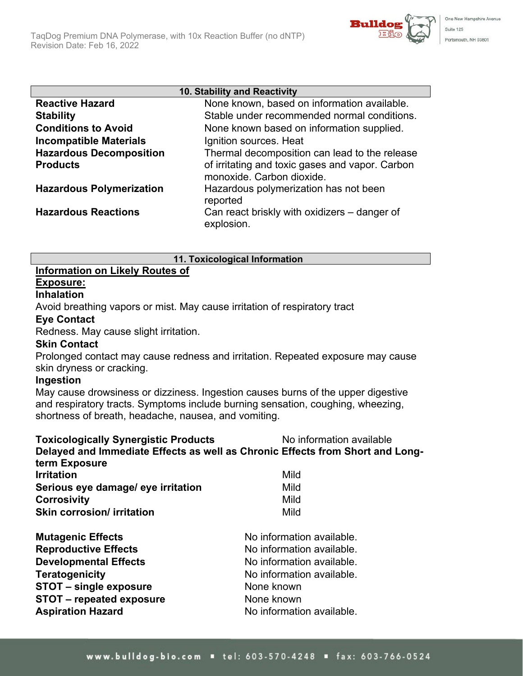

| 10. Stability and Reactivity    |                                                                              |  |
|---------------------------------|------------------------------------------------------------------------------|--|
| <b>Reactive Hazard</b>          | None known, based on information available.                                  |  |
| <b>Stability</b>                | Stable under recommended normal conditions.                                  |  |
| <b>Conditions to Avoid</b>      | None known based on information supplied.                                    |  |
| <b>Incompatible Materials</b>   | Ignition sources. Heat                                                       |  |
| <b>Hazardous Decomposition</b>  | Thermal decomposition can lead to the release                                |  |
| <b>Products</b>                 | of irritating and toxic gases and vapor. Carbon<br>monoxide. Carbon dioxide. |  |
| <b>Hazardous Polymerization</b> | Hazardous polymerization has not been<br>reported                            |  |
| <b>Hazardous Reactions</b>      | Can react briskly with oxidizers – danger of<br>explosion.                   |  |

**11. Toxicological Information**

#### **Information on Likely Routes of Exposure:**

# **Inhalation**

Avoid breathing vapors or mist. May cause irritation of respiratory tract

# **Eye Contact**

Redness. May cause slight irritation.

# **Skin Contact**

Prolonged contact may cause redness and irritation. Repeated exposure may cause skin dryness or cracking.

# **Ingestion**

May cause drowsiness or dizziness. Ingestion causes burns of the upper digestive and respiratory tracts. Symptoms include burning sensation, coughing, wheezing, shortness of breath, headache, nausea, and vomiting.

| <b>Toxicologically Synergistic Products</b><br>term Exposure | No information available<br>Delayed and Immediate Effects as well as Chronic Effects from Short and Long- |
|--------------------------------------------------------------|-----------------------------------------------------------------------------------------------------------|
| <b>Irritation</b>                                            | Mild                                                                                                      |
| Serious eye damage/ eye irritation                           | Mild                                                                                                      |
| <b>Corrosivity</b>                                           | Mild                                                                                                      |
| <b>Skin corrosion/ irritation</b>                            | Mild                                                                                                      |
| <b>Mutagenic Effects</b>                                     | No information available.                                                                                 |
| <b>Reproductive Effects</b>                                  | No information available.                                                                                 |
| <b>Developmental Effects</b>                                 | No information available.                                                                                 |
| <b>Teratogenicity</b>                                        | No information available.                                                                                 |
| STOT – single exposure                                       | None known                                                                                                |
| STOT – repeated exposure                                     | None known                                                                                                |
| <b>Aspiration Hazard</b>                                     | No information available.                                                                                 |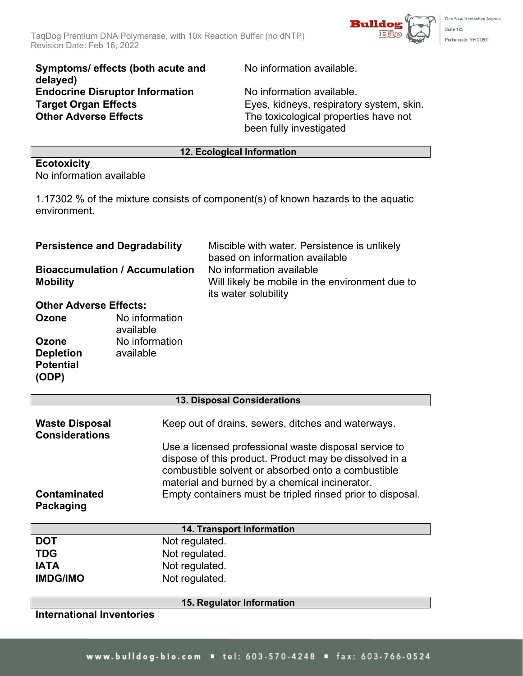

**Symptoms/ effects (both acute and delayed) Endocrine Disruptor Information** No information available.<br> **Target Organ Effects** Eyes, kidneys, respiratory **Other Adverse Effects** The toxicological properties have not

No information available.

Eyes, kidneys, respiratory system, skin. been fully investigated

### **12. Ecological Information**

#### **Ecotoxicity** No information available

1.17302 % of the mixture consists of component(s) of known hazards to the aquatic environment.

| <b>Persistence and Degradability</b><br><b>Bioaccumulation / Accumulation</b><br><b>Mobility</b>                                                |                                                                      | Miscible with water. Persistence is unlikely<br>based on information available                                                                                                                                                                                                                                                              |  |
|-------------------------------------------------------------------------------------------------------------------------------------------------|----------------------------------------------------------------------|---------------------------------------------------------------------------------------------------------------------------------------------------------------------------------------------------------------------------------------------------------------------------------------------------------------------------------------------|--|
|                                                                                                                                                 |                                                                      | No information available<br>Will likely be mobile in the environment due to<br>its water solubility                                                                                                                                                                                                                                         |  |
| <b>Other Adverse Effects:</b><br><b>Ozone</b><br>No information<br>available<br>No information<br><b>Ozone</b><br><b>Depletion</b><br>available |                                                                      |                                                                                                                                                                                                                                                                                                                                             |  |
| <b>Potential</b><br>(ODP)                                                                                                                       |                                                                      |                                                                                                                                                                                                                                                                                                                                             |  |
|                                                                                                                                                 |                                                                      | 13. Disposal Considerations                                                                                                                                                                                                                                                                                                                 |  |
| <b>Waste Disposal</b><br><b>Considerations</b>                                                                                                  |                                                                      | Keep out of drains, sewers, ditches and waterways.<br>Use a licensed professional waste disposal service to<br>dispose of this product. Product may be dissolved in a<br>combustible solvent or absorbed onto a combustible<br>material and burned by a chemical incinerator.<br>Empty containers must be tripled rinsed prior to disposal. |  |
| <b>Contaminated</b><br>Packaging                                                                                                                |                                                                      |                                                                                                                                                                                                                                                                                                                                             |  |
| 14. Transport Information                                                                                                                       |                                                                      |                                                                                                                                                                                                                                                                                                                                             |  |
| <b>DOT</b><br><b>TDG</b><br><b>IATA</b><br><b>IMDG/IMO</b>                                                                                      | Not regulated.<br>Not regulated.<br>Not regulated.<br>Not regulated. |                                                                                                                                                                                                                                                                                                                                             |  |
|                                                                                                                                                 |                                                                      | 15. Regulator Information                                                                                                                                                                                                                                                                                                                   |  |
| <b>International Inventories</b>                                                                                                                |                                                                      |                                                                                                                                                                                                                                                                                                                                             |  |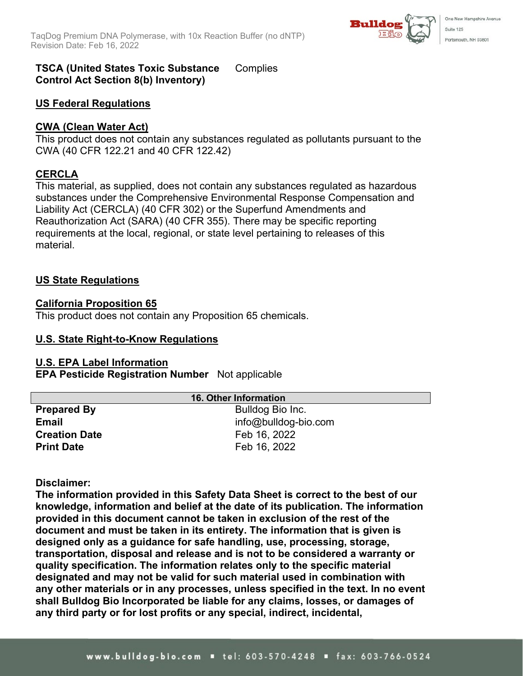

#### **TSCA (United States Toxic Substance Control Act Section 8(b) Inventory) Complies**

# **US Federal Regulations**

## **CWA (Clean Water Act)**

This product does not contain any substances regulated as pollutants pursuant to the CWA (40 CFR 122.21 and 40 CFR 122.42)

# **CERCLA**

This material, as supplied, does not contain any substances regulated as hazardous substances under the Comprehensive Environmental Response Compensation and Liability Act (CERCLA) (40 CFR 302) or the Superfund Amendments and Reauthorization Act (SARA) (40 CFR 355). There may be specific reporting requirements at the local, regional, or state level pertaining to releases of this material.

## **US State Regulations**

## **California Proposition 65**

This product does not contain any Proposition 65 chemicals.

### **U.S. State Right-to-Know Regulations**

### **U.S. EPA Label Information**

**EPA Pesticide Registration Number** Not applicable

| <b>16. Other Information</b> |                         |  |
|------------------------------|-------------------------|--|
| <b>Prepared By</b>           | Bulldog Bio Inc.        |  |
| <b>Email</b>                 | $info@$ bulldog-bio.com |  |
| <b>Creation Date</b>         | Feb 16, 2022            |  |
| <b>Print Date</b>            | Feb 16, 2022            |  |

### **Disclaimer:**

**The information provided in this Safety Data Sheet is correct to the best of our knowledge, information and belief at the date of its publication. The information provided in this document cannot be taken in exclusion of the rest of the document and must be taken in its entirety. The information that is given is designed only as a guidance for safe handling, use, processing, storage, transportation, disposal and release and is not to be considered a warranty or quality specification. The information relates only to the specific material designated and may not be valid for such material used in combination with any other materials or in any processes, unless specified in the text. In no event shall Bulldog Bio Incorporated be liable for any claims, losses, or damages of any third party or for lost profits or any special, indirect, incidental,**